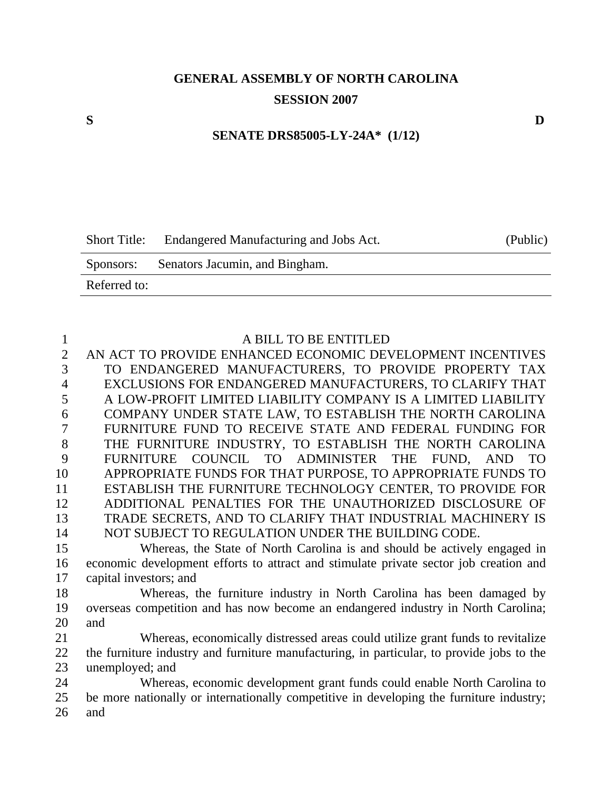# **GENERAL ASSEMBLY OF NORTH CAROLINA SESSION 2007**

# **SENATE DRS85005-LY-24A\* (1/12)**

|              | Short Title: Endangered Manufacturing and Jobs Act. | (Public) |
|--------------|-----------------------------------------------------|----------|
| Sponsors:    | Senators Jacumin, and Bingham.                      |          |
| Referred to: |                                                     |          |

| 1              | A BILL TO BE ENTITLED                                                                     |
|----------------|-------------------------------------------------------------------------------------------|
| $\overline{2}$ | AN ACT TO PROVIDE ENHANCED ECONOMIC DEVELOPMENT INCENTIVES                                |
| 3              | TO ENDANGERED MANUFACTURERS, TO PROVIDE PROPERTY TAX                                      |
| $\overline{4}$ | EXCLUSIONS FOR ENDANGERED MANUFACTURERS, TO CLARIFY THAT                                  |
| 5              | A LOW-PROFIT LIMITED LIABILITY COMPANY IS A LIMITED LIABILITY                             |
| 6              | COMPANY UNDER STATE LAW, TO ESTABLISH THE NORTH CAROLINA                                  |
| 7              | FURNITURE FUND TO RECEIVE STATE AND FEDERAL FUNDING FOR                                   |
| 8              | THE FURNITURE INDUSTRY, TO ESTABLISH THE NORTH CAROLINA                                   |
| 9              | FURNITURE COUNCIL TO ADMINISTER THE<br>FUND.<br>T <sub>O</sub><br>AND                     |
| 10             | APPROPRIATE FUNDS FOR THAT PURPOSE, TO APPROPRIATE FUNDS TO                               |
| 11             | ESTABLISH THE FURNITURE TECHNOLOGY CENTER, TO PROVIDE FOR                                 |
| 12             | ADDITIONAL PENALTIES FOR THE UNAUTHORIZED DISCLOSURE OF                                   |
| 13             | TRADE SECRETS, AND TO CLARIFY THAT INDUSTRIAL MACHINERY IS                                |
| 14             | NOT SUBJECT TO REGULATION UNDER THE BUILDING CODE.                                        |
| 15             | Whereas, the State of North Carolina is and should be actively engaged in                 |
| 16             | economic development efforts to attract and stimulate private sector job creation and     |
| 17             | capital investors; and                                                                    |
| 18             | Whereas, the furniture industry in North Carolina has been damaged by                     |
| 19             | overseas competition and has now become an endangered industry in North Carolina;         |
| 20             | and                                                                                       |
| 21             | Whereas, economically distressed areas could utilize grant funds to revitalize            |
| 22             | the furniture industry and furniture manufacturing, in particular, to provide jobs to the |
| 23             | unemployed; and                                                                           |
| 24             | Whereas, economic development grant funds could enable North Carolina to                  |
| 25             | be more nationally or internationally competitive in developing the furniture industry;   |
| 26             | and                                                                                       |
|                |                                                                                           |

**S D**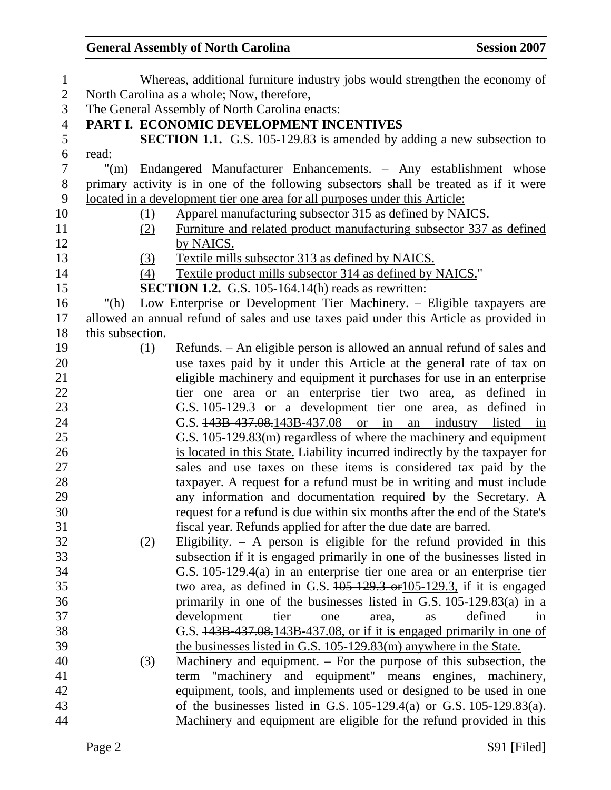#### General Assembly of North Carolina **Session 2007**

| $\mathbf{1}$   |                  |     | Whereas, additional furniture industry jobs would strengthen the economy of            |
|----------------|------------------|-----|----------------------------------------------------------------------------------------|
| $\overline{2}$ |                  |     | North Carolina as a whole; Now, therefore,                                             |
| 3              |                  |     | The General Assembly of North Carolina enacts:                                         |
| $\overline{4}$ |                  |     | PART I. ECONOMIC DEVELOPMENT INCENTIVES                                                |
| 5              |                  |     | <b>SECTION 1.1.</b> G.S. 105-129.83 is amended by adding a new subsection to           |
| 6              | read:            |     |                                                                                        |
| $\overline{7}$ |                  |     | "(m) Endangered Manufacturer Enhancements. - Any establishment whose                   |
| $8\,$          |                  |     | primary activity is in one of the following subsectors shall be treated as if it were  |
| 9              |                  |     | <u>located in a development tier one area for all purposes under this Article:</u>     |
| 10             |                  | (1) | Apparel manufacturing subsector 315 as defined by NAICS.                               |
| 11             |                  | (2) | Furniture and related product manufacturing subsector 337 as defined                   |
| 12             |                  |     | by NAICS.                                                                              |
| 13             |                  | (3) | Textile mills subsector 313 as defined by NAICS.                                       |
| 14             |                  | (4) | Textile product mills subsector 314 as defined by NAICS."                              |
| 15             |                  |     | <b>SECTION 1.2.</b> G.S. 105-164.14(h) reads as rewritten:                             |
| 16             | "(h)             |     | Low Enterprise or Development Tier Machinery. - Eligible taxpayers are                 |
| 17             |                  |     | allowed an annual refund of sales and use taxes paid under this Article as provided in |
| 18             | this subsection. |     |                                                                                        |
| 19             |                  | (1) | Refunds. – An eligible person is allowed an annual refund of sales and                 |
| 20             |                  |     | use taxes paid by it under this Article at the general rate of tax on                  |
| 21             |                  |     | eligible machinery and equipment it purchases for use in an enterprise                 |
| 22             |                  |     | tier one area or an enterprise tier two area, as defined in                            |
| 23             |                  |     | G.S. 105-129.3 or a development tier one area, as defined in                           |
| 24             |                  |     | G.S. $\frac{143B-437.08}{143B-437.08}$ or in an industry listed in                     |
| 25             |                  |     | G.S. 105-129.83(m) regardless of where the machinery and equipment                     |
| 26             |                  |     | is located in this State. Liability incurred indirectly by the taxpayer for            |
| 27             |                  |     | sales and use taxes on these items is considered tax paid by the                       |
| 28             |                  |     | taxpayer. A request for a refund must be in writing and must include                   |
| 29             |                  |     | any information and documentation required by the Secretary. A                         |
| 30             |                  |     | request for a refund is due within six months after the end of the State's             |
| 31             |                  |     | fiscal year. Refunds applied for after the due date are barred.                        |
| 32             |                  | (2) | Eligibility. $-$ A person is eligible for the refund provided in this                  |
| 33             |                  |     | subsection if it is engaged primarily in one of the businesses listed in               |
| 34             |                  |     | G.S. $105-129.4(a)$ in an enterprise tier one area or an enterprise tier               |
| 35             |                  |     | two area, as defined in G.S. $105-129.3$ or $105-129.3$ , if it is engaged             |
| 36             |                  |     | primarily in one of the businesses listed in G.S. $105-129.83(a)$ in a                 |
| 37             |                  |     | development<br>defined<br>tier<br>area,<br>one<br>as<br>1n                             |
| 38             |                  |     | G.S. 443B 437.08.143B 437.08, or if it is engaged primarily in one of                  |
| 39             |                  |     | the businesses listed in G.S. 105-129.83(m) anywhere in the State.                     |
| 40             |                  | (3) | Machinery and equipment. $-$ For the purpose of this subsection, the                   |
| 41             |                  |     | term "machinery and equipment" means engines, machinery,                               |
| 42             |                  |     | equipment, tools, and implements used or designed to be used in one                    |
| 43             |                  |     | of the businesses listed in G.S. $105-129.4(a)$ or G.S. $105-129.83(a)$ .              |
| 44             |                  |     | Machinery and equipment are eligible for the refund provided in this                   |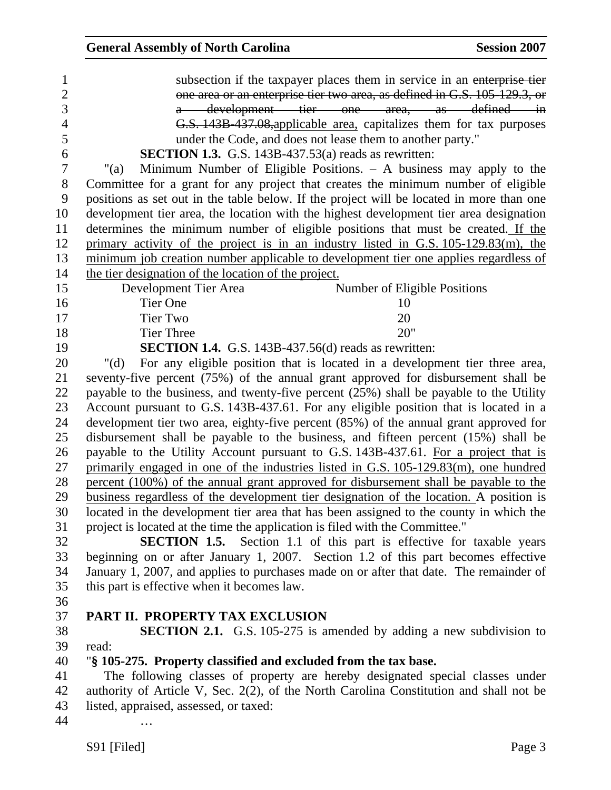S91 [Filed] Page 3 1 subsection if the taxpayer places them in service in an enterprise tier 2 one area or an enterprise tier two area, as defined in G.S. 105-129.3, or 3 a development tier one area, as defined in 4 G.S. 143B-437.08,applicable area, capitalizes them for tax purposes 5 under the Code, and does not lease them to another party." 6 **SECTION 1.3.** G.S. 143B-437.53(a) reads as rewritten: 7 "(a) Minimum Number of Eligible Positions. – A business may apply to the 8 Committee for a grant for any project that creates the minimum number of eligible 9 positions as set out in the table below. If the project will be located in more than one 10 development tier area, the location with the highest development tier area designation 11 determines the minimum number of eligible positions that must be created. If the 12 primary activity of the project is in an industry listed in G.S. 105-129.83(m), the 13 minimum job creation number applicable to development tier one applies regardless of 14 the tier designation of the location of the project. 15 Development Tier Area Number of Eligible Positions 16 Tier One 10 17 Tier Two 20 18 Tier Three 20" 19 **SECTION 1.4.** G.S. 143B-437.56(d) reads as rewritten: 20 "(d) For any eligible position that is located in a development tier three area, 21 seventy-five percent (75%) of the annual grant approved for disbursement shall be 22 payable to the business, and twenty-five percent (25%) shall be payable to the Utility 23 Account pursuant to G.S. 143B-437.61. For any eligible position that is located in a 24 development tier two area, eighty-five percent (85%) of the annual grant approved for 25 disbursement shall be payable to the business, and fifteen percent (15%) shall be 26 payable to the Utility Account pursuant to G.S. 143B-437.61. For a project that is 27 primarily engaged in one of the industries listed in G.S. 105-129.83(m), one hundred 28 percent (100%) of the annual grant approved for disbursement shall be payable to the 29 business regardless of the development tier designation of the location. A position is 30 located in the development tier area that has been assigned to the county in which the 31 project is located at the time the application is filed with the Committee." 32 **SECTION 1.5.** Section 1.1 of this part is effective for taxable years 33 beginning on or after January 1, 2007. Section 1.2 of this part becomes effective 34 January 1, 2007, and applies to purchases made on or after that date. The remainder of 35 this part is effective when it becomes law. 36 37 **PART II. PROPERTY TAX EXCLUSION**  38 **SECTION 2.1.** G.S. 105-275 is amended by adding a new subdivision to 39 read: 40 "**§ 105-275. Property classified and excluded from the tax base.**  41 The following classes of property are hereby designated special classes under 42 authority of Article V, Sec. 2(2), of the North Carolina Constitution and shall not be 43 listed, appraised, assessed, or taxed: 44 …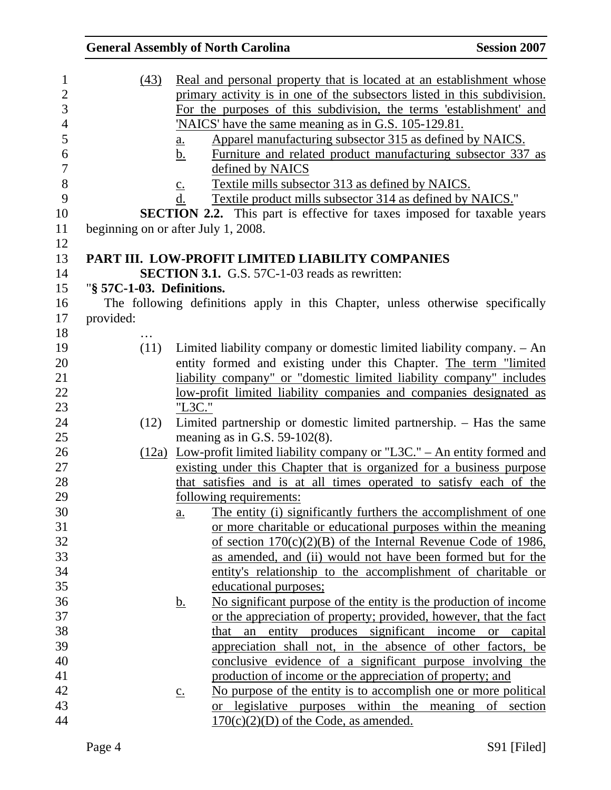|                                        |                                                    | <b>General Assembly of North Carolina</b>                                                                                                                                                                                                                                                                                                                                                                                                                                                                                                                                                                                                 | <b>Session 2007</b> |
|----------------------------------------|----------------------------------------------------|-------------------------------------------------------------------------------------------------------------------------------------------------------------------------------------------------------------------------------------------------------------------------------------------------------------------------------------------------------------------------------------------------------------------------------------------------------------------------------------------------------------------------------------------------------------------------------------------------------------------------------------------|---------------------|
| (43)                                   | $\underline{a}$ .<br>b.<br>$\underline{c}$ .<br>d. | Real and personal property that is located at an establishment whose<br>primary activity is in one of the subsectors listed in this subdivision.<br>For the purposes of this subdivision, the terms 'establishment' and<br><u>'NAICS' have the same meaning as in G.S. 105-129.81.</u><br>Apparel manufacturing subsector 315 as defined by NAICS.<br>Furniture and related product manufacturing subsector 337 as<br>defined by NAICS<br>Textile mills subsector 313 as defined by NAICS.<br>Textile product mills subsector 314 as defined by NAICS."<br><b>SECTION 2.2.</b> This part is effective for taxes imposed for taxable years |                     |
| beginning on or after July 1, 2008.    |                                                    |                                                                                                                                                                                                                                                                                                                                                                                                                                                                                                                                                                                                                                           |                     |
| "§ 57C-1-03. Definitions.<br>provided: |                                                    | PART III. LOW-PROFIT LIMITED LIABILITY COMPANIES<br><b>SECTION 3.1.</b> G.S. 57C-1-03 reads as rewritten:<br>The following definitions apply in this Chapter, unless otherwise specifically                                                                                                                                                                                                                                                                                                                                                                                                                                               |                     |
|                                        |                                                    |                                                                                                                                                                                                                                                                                                                                                                                                                                                                                                                                                                                                                                           |                     |
| (11)                                   |                                                    | Limited liability company or domestic limited liability company. - An                                                                                                                                                                                                                                                                                                                                                                                                                                                                                                                                                                     |                     |
|                                        |                                                    | entity formed and existing under this Chapter. The term "limited                                                                                                                                                                                                                                                                                                                                                                                                                                                                                                                                                                          |                     |
|                                        |                                                    | liability company" or "domestic limited liability company" includes                                                                                                                                                                                                                                                                                                                                                                                                                                                                                                                                                                       |                     |
|                                        |                                                    | <u>low-profit limited liability companies and companies designated as</u>                                                                                                                                                                                                                                                                                                                                                                                                                                                                                                                                                                 |                     |
|                                        | "L3C."                                             |                                                                                                                                                                                                                                                                                                                                                                                                                                                                                                                                                                                                                                           |                     |
| (12)                                   |                                                    | Limited partnership or domestic limited partnership. - Has the same                                                                                                                                                                                                                                                                                                                                                                                                                                                                                                                                                                       |                     |
|                                        |                                                    | meaning as in G.S. $59-102(8)$ .                                                                                                                                                                                                                                                                                                                                                                                                                                                                                                                                                                                                          |                     |
|                                        |                                                    | $(12a)$ Low-profit limited liability company or "L3C." – An entity formed and                                                                                                                                                                                                                                                                                                                                                                                                                                                                                                                                                             |                     |
|                                        |                                                    | existing under this Chapter that is organized for a business purpose                                                                                                                                                                                                                                                                                                                                                                                                                                                                                                                                                                      |                     |
|                                        |                                                    | that satisfies and is at all times operated to satisfy each of the                                                                                                                                                                                                                                                                                                                                                                                                                                                                                                                                                                        |                     |
|                                        |                                                    | following requirements:                                                                                                                                                                                                                                                                                                                                                                                                                                                                                                                                                                                                                   |                     |
|                                        | $\underline{a}$ .                                  | The entity (i) significantly furthers the accomplishment of one                                                                                                                                                                                                                                                                                                                                                                                                                                                                                                                                                                           |                     |
|                                        |                                                    | or more charitable or educational purposes within the meaning<br>of section $170(c)(2)(B)$ of the Internal Revenue Code of 1986,                                                                                                                                                                                                                                                                                                                                                                                                                                                                                                          |                     |
|                                        |                                                    | as amended, and (ii) would not have been formed but for the                                                                                                                                                                                                                                                                                                                                                                                                                                                                                                                                                                               |                     |
|                                        |                                                    | entity's relationship to the accomplishment of charitable or                                                                                                                                                                                                                                                                                                                                                                                                                                                                                                                                                                              |                     |
|                                        |                                                    | educational purposes;                                                                                                                                                                                                                                                                                                                                                                                                                                                                                                                                                                                                                     |                     |
|                                        | <u>b.</u>                                          | No significant purpose of the entity is the production of income                                                                                                                                                                                                                                                                                                                                                                                                                                                                                                                                                                          |                     |
|                                        |                                                    | or the appreciation of property; provided, however, that the fact                                                                                                                                                                                                                                                                                                                                                                                                                                                                                                                                                                         |                     |
|                                        |                                                    | that an entity produces significant income or capital                                                                                                                                                                                                                                                                                                                                                                                                                                                                                                                                                                                     |                     |
|                                        |                                                    | appreciation shall not, in the absence of other factors, be                                                                                                                                                                                                                                                                                                                                                                                                                                                                                                                                                                               |                     |
|                                        |                                                    | conclusive evidence of a significant purpose involving the                                                                                                                                                                                                                                                                                                                                                                                                                                                                                                                                                                                |                     |
|                                        |                                                    | production of income or the appreciation of property; and                                                                                                                                                                                                                                                                                                                                                                                                                                                                                                                                                                                 |                     |
|                                        | $\underline{c}$ .                                  | No purpose of the entity is to accomplish one or more political                                                                                                                                                                                                                                                                                                                                                                                                                                                                                                                                                                           |                     |
|                                        |                                                    | or legislative purposes within the meaning of section                                                                                                                                                                                                                                                                                                                                                                                                                                                                                                                                                                                     |                     |
|                                        |                                                    | $170(c)(2)(D)$ of the Code, as amended.                                                                                                                                                                                                                                                                                                                                                                                                                                                                                                                                                                                                   |                     |
|                                        |                                                    |                                                                                                                                                                                                                                                                                                                                                                                                                                                                                                                                                                                                                                           |                     |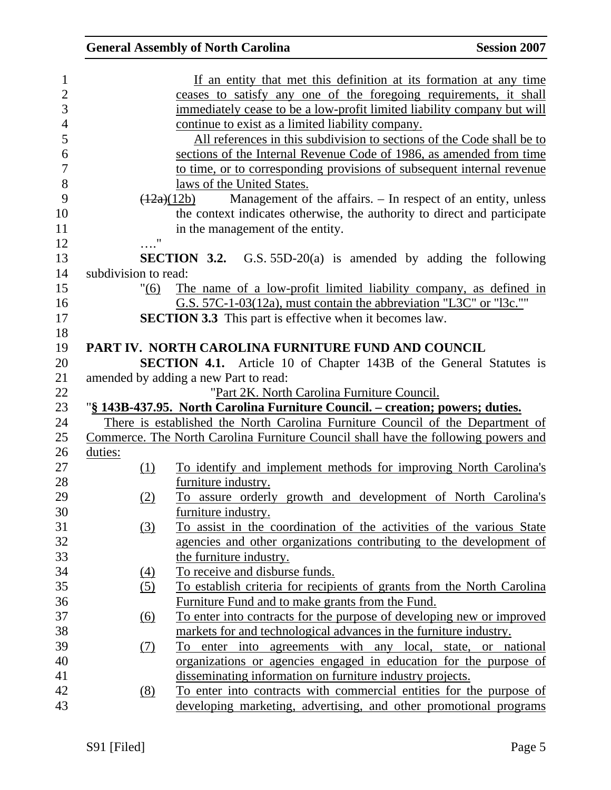|                |                      | <b>General Assembly of North Carolina</b>                                          | <b>Session 2007</b> |
|----------------|----------------------|------------------------------------------------------------------------------------|---------------------|
| $\mathbf{1}$   |                      | If an entity that met this definition at its formation at any time                 |                     |
| $\overline{c}$ |                      | ceases to satisfy any one of the foregoing requirements, it shall                  |                     |
| $\overline{3}$ |                      | immediately cease to be a low-profit limited liability company but will            |                     |
| $\overline{4}$ |                      | continue to exist as a limited liability company.                                  |                     |
| 5              |                      | All references in this subdivision to sections of the Code shall be to             |                     |
| 6              |                      | sections of the Internal Revenue Code of 1986, as amended from time                |                     |
| $\overline{7}$ |                      | to time, or to corresponding provisions of subsequent internal revenue             |                     |
| 8              |                      | laws of the United States.                                                         |                     |
| 9              |                      | Management of the affairs. – In respect of an entity, unless<br>(12a)(12b)         |                     |
| 10             |                      | the context indicates otherwise, the authority to direct and participate           |                     |
| 11             |                      | in the management of the entity.                                                   |                     |
| 12             | 11                   |                                                                                    |                     |
| 13             |                      | <b>SECTION 3.2.</b> G.S. 55D-20(a) is amended by adding the following              |                     |
| 14             | subdivision to read: |                                                                                    |                     |
| 15             | "(6)                 | The name of a low-profit limited liability company, as defined in                  |                     |
| 16             |                      | G.S. 57C-1-03(12a), must contain the abbreviation "L3C" or "l3c.""                 |                     |
| 17             |                      | <b>SECTION 3.3</b> This part is effective when it becomes law.                     |                     |
| 18             |                      |                                                                                    |                     |
| 19             |                      | PART IV. NORTH CAROLINA FURNITURE FUND AND COUNCIL                                 |                     |
| 20             |                      | <b>SECTION 4.1.</b> Article 10 of Chapter 143B of the General Statutes is          |                     |
| 21             |                      | amended by adding a new Part to read:                                              |                     |
| 22             |                      | "Part 2K. North Carolina Furniture Council.                                        |                     |
| 23             |                      | "§ 143B-437.95. North Carolina Furniture Council. – creation; powers; duties.      |                     |
| 24             |                      | There is established the North Carolina Furniture Council of the Department of     |                     |
| $25\,$         |                      | Commerce. The North Carolina Furniture Council shall have the following powers and |                     |
| 26             | duties:              |                                                                                    |                     |
| 27             | (1)                  | To identify and implement methods for improving North Carolina's                   |                     |
| 28             |                      | furniture industry.                                                                |                     |
| 29             | (2)                  | To assure orderly growth and development of North Carolina's                       |                     |
| 30             |                      | furniture industry.                                                                |                     |
| 31             | $\left(3\right)$     | To assist in the coordination of the activities of the various State               |                     |
| 32             |                      | agencies and other organizations contributing to the development of                |                     |
| 33             |                      | the furniture industry.                                                            |                     |
| 34             | (4)                  | To receive and disburse funds.                                                     |                     |
| 35             | (5)                  | To establish criteria for recipients of grants from the North Carolina             |                     |
| 36             |                      | Furniture Fund and to make grants from the Fund.                                   |                     |
| 37             | $\underline{(6)}$    | To enter into contracts for the purpose of developing new or improved              |                     |
| 38             |                      | markets for and technological advances in the furniture industry.                  |                     |
| 39             | <u>(7)</u>           | To enter into agreements with any local, state, or national                        |                     |
| 40             |                      | organizations or agencies engaged in education for the purpose of                  |                     |
| 41             |                      | disseminating information on furniture industry projects.                          |                     |
| 42             | (8)                  | To enter into contracts with commercial entities for the purpose of                |                     |
| 43             |                      | developing marketing, advertising, and other promotional programs                  |                     |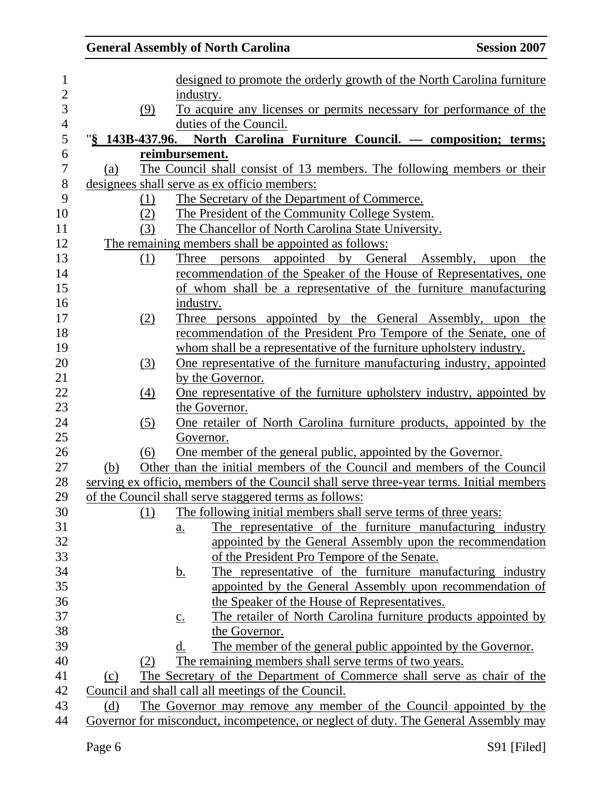|                 | <b>General Assembly of North Carolina</b>                                                | <b>Session 2007</b> |
|-----------------|------------------------------------------------------------------------------------------|---------------------|
|                 | designed to promote the orderly growth of the North Carolina furniture                   |                     |
|                 | industry.                                                                                |                     |
| (9)             | To acquire any licenses or permits necessary for performance of the                      |                     |
|                 | duties of the Council.                                                                   |                     |
| "§ 143B-437.96. | North Carolina Furniture Council. — composition; terms;                                  |                     |
|                 | reimbursement.                                                                           |                     |
| (a)             | The Council shall consist of 13 members. The following members or their                  |                     |
|                 | designees shall serve as ex officio members:                                             |                     |
| (1)             | The Secretary of the Department of Commerce.                                             |                     |
| (2)             | The President of the Community College System.                                           |                     |
| (3)             | The Chancellor of North Carolina State University.                                       |                     |
|                 | The remaining members shall be appointed as follows:                                     |                     |
| (1)             | appointed<br>by General Assembly,<br>Three persons                                       | the<br>upon         |
|                 | recommendation of the Speaker of the House of Representatives, one                       |                     |
|                 | of whom shall be a representative of the furniture manufacturing                         |                     |
|                 | industry.                                                                                |                     |
| (2)             | Three persons appointed by the General Assembly, upon the                                |                     |
|                 | recommendation of the President Pro Tempore of the Senate, one of                        |                     |
|                 | whom shall be a representative of the furniture upholstery industry.                     |                     |
| (3)             | One representative of the furniture manufacturing industry, appointed                    |                     |
|                 | by the Governor.                                                                         |                     |
| (4)             | One representative of the furniture upholstery industry, appointed by                    |                     |
|                 | the Governor.                                                                            |                     |
| (5)             | One retailer of North Carolina furniture products, appointed by the                      |                     |
|                 | Governor.                                                                                |                     |
| (6)             | One member of the general public, appointed by the Governor.                             |                     |
| (b)             | Other than the initial members of the Council and members of the Council                 |                     |
|                 | serving ex officio, members of the Council shall serve three-year terms. Initial members |                     |
|                 | of the Council shall serve staggered terms as follows:                                   |                     |
| (1)             | The following initial members shall serve terms of three years:                          |                     |
|                 | The representative of the furniture manufacturing industry<br>$\underline{a}$ .          |                     |
|                 | appointed by the General Assembly upon the recommendation                                |                     |
|                 | of the President Pro Tempore of the Senate.                                              |                     |
|                 | The representative of the furniture manufacturing industry<br><u>b.</u>                  |                     |
|                 | appointed by the General Assembly upon recommendation of                                 |                     |
|                 | the Speaker of the House of Representatives.                                             |                     |
|                 | The retailer of North Carolina furniture products appointed by<br>$\underline{c}$ .      |                     |
|                 | the Governor.                                                                            |                     |
|                 | The member of the general public appointed by the Governor.<br>d.                        |                     |
| (2)             | The remaining members shall serve terms of two years.                                    |                     |
| (c)             | The Secretary of the Department of Commerce shall serve as chair of the                  |                     |
|                 | Council and shall call all meetings of the Council.                                      |                     |
| (d)             | The Governor may remove any member of the Council appointed by the                       |                     |
|                 | Governor for misconduct, incompetence, or neglect of duty. The General Assembly may      |                     |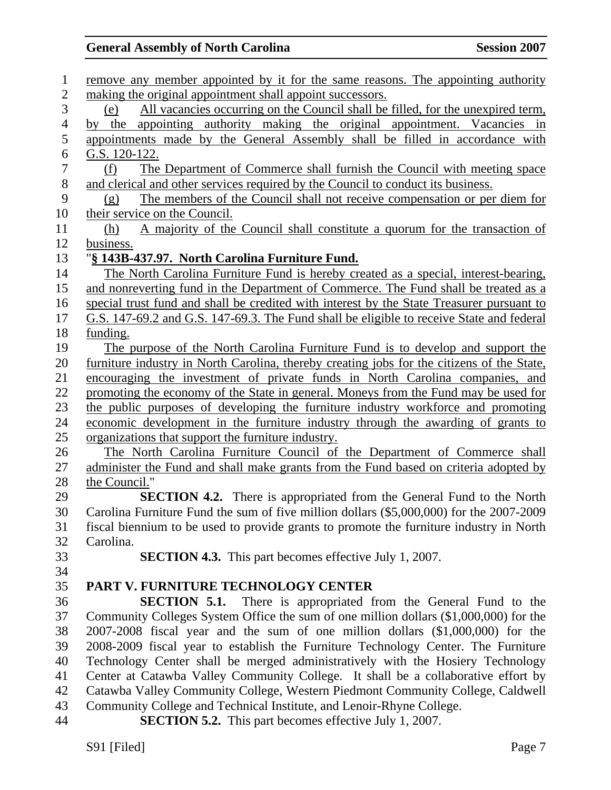# General Assembly of North Carolina **Session 2007**

| $\mathbf{1}$   | remove any member appointed by it for the same reasons. The appointing authority           |
|----------------|--------------------------------------------------------------------------------------------|
| $\overline{2}$ | making the original appointment shall appoint successors.                                  |
| 3              | All vacancies occurring on the Council shall be filled, for the unexpired term,<br>(e)     |
| $\overline{4}$ | appointing authority making the original appointment. Vacancies in<br>by the               |
| 5              | appointments made by the General Assembly shall be filled in accordance with               |
| 6              | G.S. 120-122.                                                                              |
| $\overline{7}$ | The Department of Commerce shall furnish the Council with meeting space<br>(f)             |
| $8\,$          | and clerical and other services required by the Council to conduct its business.           |
| 9              | The members of the Council shall not receive compensation or per diem for<br>(g)           |
| 10             | their service on the Council.                                                              |
| 11             | A majority of the Council shall constitute a quorum for the transaction of<br>(h)          |
| 12             | business.                                                                                  |
| 13             | "§ 143B-437.97. North Carolina Furniture Fund.                                             |
| 14             | The North Carolina Furniture Fund is hereby created as a special, interest-bearing,        |
| 15             | and nonreverting fund in the Department of Commerce. The Fund shall be treated as a        |
| 16             | special trust fund and shall be credited with interest by the State Treasurer pursuant to  |
| 17             | G.S. 147-69.2 and G.S. 147-69.3. The Fund shall be eligible to receive State and federal   |
| 18             | funding.                                                                                   |
| 19             | The purpose of the North Carolina Furniture Fund is to develop and support the             |
| 20             | furniture industry in North Carolina, thereby creating jobs for the citizens of the State, |
| 21             | encouraging the investment of private funds in North Carolina companies, and               |
| 22             | promoting the economy of the State in general. Moneys from the Fund may be used for        |
| 23             | the public purposes of developing the furniture industry workforce and promoting           |
| 24             | economic development in the furniture industry through the awarding of grants to           |
| 25             | organizations that support the furniture industry.                                         |
| 26             | The North Carolina Furniture Council of the Department of Commerce shall                   |
| 27             | administer the Fund and shall make grants from the Fund based on criteria adopted by       |
| 28             | the Council."                                                                              |
| 29             | SECTION 4.2. There is appropriated from the General Fund to the North                      |
| 30             | Carolina Furniture Fund the sum of five million dollars (\$5,000,000) for the 2007-2009    |
| 31             | fiscal biennium to be used to provide grants to promote the furniture industry in North    |
| 32             | Carolina.                                                                                  |
| 33             | <b>SECTION 4.3.</b> This part becomes effective July 1, 2007.                              |
| 34             |                                                                                            |
| 35             | PART V. FURNITURE TECHNOLOGY CENTER                                                        |
| 36             | <b>SECTION 5.1.</b> There is appropriated from the General Fund to the                     |
| 37             | Community Colleges System Office the sum of one million dollars (\$1,000,000) for the      |
| 38             | 2007-2008 fiscal year and the sum of one million dollars (\$1,000,000) for the             |
| 39             | 2008-2009 fiscal year to establish the Furniture Technology Center. The Furniture          |
| 40             | Technology Center shall be merged administratively with the Hosiery Technology             |
| 41             | Center at Catawba Valley Community College. It shall be a collaborative effort by          |
| 42             | Catawba Valley Community College, Western Piedmont Community College, Caldwell             |
| 43             | Community College and Technical Institute, and Lenoir-Rhyne College.                       |
| 44             | <b>SECTION 5.2.</b> This part becomes effective July 1, 2007.                              |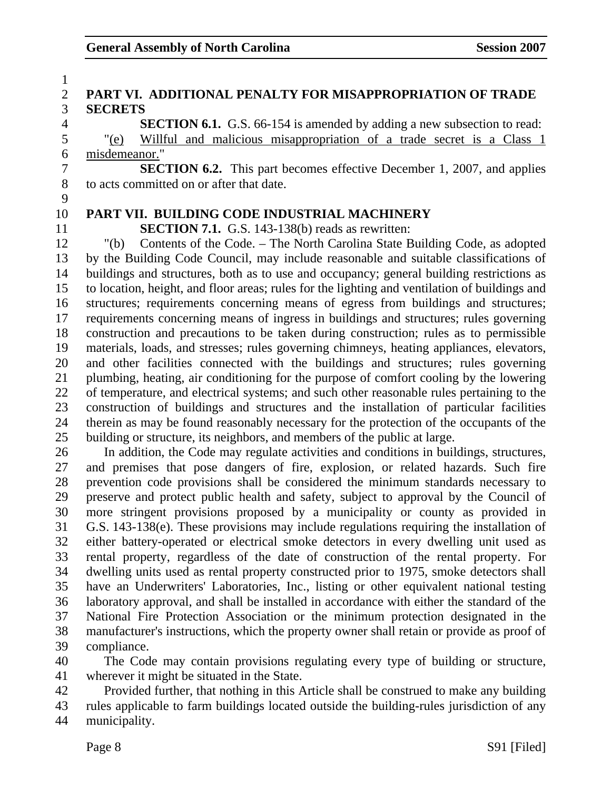| $\mathbf{1}$             |                                                                                               |
|--------------------------|-----------------------------------------------------------------------------------------------|
| $\mathbf{2}$             | PART VI. ADDITIONAL PENALTY FOR MISAPPROPRIATION OF TRADE                                     |
| 3                        | <b>SECRETS</b>                                                                                |
| $\overline{\mathcal{A}}$ | <b>SECTION 6.1.</b> G.S. 66-154 is amended by adding a new subsection to read:                |
| 5                        | Willful and malicious misappropriation of a trade secret is a Class 1<br>"(e)                 |
| 6                        | misdemeanor."                                                                                 |
| $\tau$                   | <b>SECTION 6.2.</b> This part becomes effective December 1, 2007, and applies                 |
| $8\,$                    | to acts committed on or after that date.                                                      |
| 9                        |                                                                                               |
| 10                       | PART VII. BUILDING CODE INDUSTRIAL MACHINERY                                                  |
| 11                       | <b>SECTION 7.1.</b> G.S. 143-138(b) reads as rewritten:                                       |
| 12                       | Contents of the Code. – The North Carolina State Building Code, as adopted<br>" $(b)$         |
| 13                       | by the Building Code Council, may include reasonable and suitable classifications of          |
| 14                       | buildings and structures, both as to use and occupancy; general building restrictions as      |
| 15                       | to location, height, and floor areas; rules for the lighting and ventilation of buildings and |
| 16                       | structures; requirements concerning means of egress from buildings and structures;            |
| 17                       | requirements concerning means of ingress in buildings and structures; rules governing         |
| 18                       | construction and precautions to be taken during construction; rules as to permissible         |
| 19                       | materials, loads, and stresses; rules governing chimneys, heating appliances, elevators,      |
| 20                       | and other facilities connected with the buildings and structures; rules governing             |
| 21                       | plumbing, heating, air conditioning for the purpose of comfort cooling by the lowering        |
| 22                       | of temperature, and electrical systems; and such other reasonable rules pertaining to the     |
| 23                       | construction of buildings and structures and the installation of particular facilities        |
| 24                       | therein as may be found reasonably necessary for the protection of the occupants of the       |
| 25                       | building or structure, its neighbors, and members of the public at large.                     |
| 26                       | In addition, the Code may regulate activities and conditions in buildings, structures,        |
| 27                       | and premises that pose dangers of fire, explosion, or related hazards. Such fire              |
| 28                       | prevention code provisions shall be considered the minimum standards necessary to             |
| 29                       | preserve and protect public health and safety, subject to approval by the Council of          |
| 30                       | more stringent provisions proposed by a municipality or county as provided in                 |
| 31                       | G.S. 143-138(e). These provisions may include regulations requiring the installation of       |
| 32                       | either battery-operated or electrical smoke detectors in every dwelling unit used as          |
| 33                       | rental property, regardless of the date of construction of the rental property. For           |
| 34                       | dwelling units used as rental property constructed prior to 1975, smoke detectors shall       |
| 35                       | have an Underwriters' Laboratories, Inc., listing or other equivalent national testing        |
| 36                       | laboratory approval, and shall be installed in accordance with either the standard of the     |
| 37                       | National Fire Protection Association or the minimum protection designated in the              |
| 38                       | manufacturer's instructions, which the property owner shall retain or provide as proof of     |
| 39                       | compliance.                                                                                   |

40 The Code may contain provisions regulating every type of building or structure, 41 wherever it might be situated in the State.

42 Provided further, that nothing in this Article shall be construed to make any building 43 rules applicable to farm buildings located outside the building-rules jurisdiction of any 44 municipality.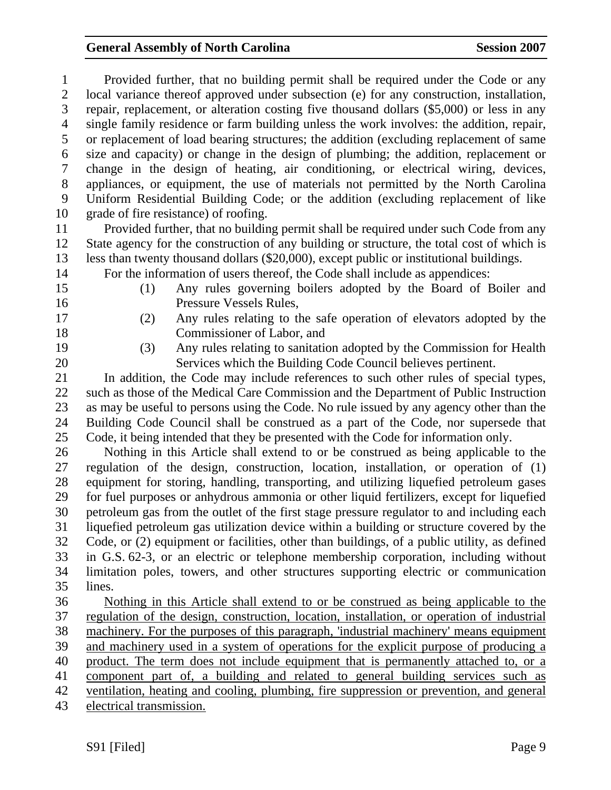#### General Assembly of North Carolina **Session 2007**

1 Provided further, that no building permit shall be required under the Code or any 2 local variance thereof approved under subsection (e) for any construction, installation, 3 repair, replacement, or alteration costing five thousand dollars (\$5,000) or less in any 4 single family residence or farm building unless the work involves: the addition, repair, 5 or replacement of load bearing structures; the addition (excluding replacement of same 6 size and capacity) or change in the design of plumbing; the addition, replacement or 7 change in the design of heating, air conditioning, or electrical wiring, devices, 8 appliances, or equipment, the use of materials not permitted by the North Carolina 9 Uniform Residential Building Code; or the addition (excluding replacement of like 10 grade of fire resistance) of roofing. 11 Provided further, that no building permit shall be required under such Code from any 12 State agency for the construction of any building or structure, the total cost of which is 13 less than twenty thousand dollars (\$20,000), except public or institutional buildings. 14 For the information of users thereof, the Code shall include as appendices: 15 (1) Any rules governing boilers adopted by the Board of Boiler and 16 Pressure Vessels Rules, 17 (2) Any rules relating to the safe operation of elevators adopted by the 18 Commissioner of Labor, and 19 (3) Any rules relating to sanitation adopted by the Commission for Health 20 Services which the Building Code Council believes pertinent. 21 In addition, the Code may include references to such other rules of special types, 22 such as those of the Medical Care Commission and the Department of Public Instruction 23 as may be useful to persons using the Code. No rule issued by any agency other than the 24 Building Code Council shall be construed as a part of the Code, nor supersede that 25 Code, it being intended that they be presented with the Code for information only. 26 Nothing in this Article shall extend to or be construed as being applicable to the 27 regulation of the design, construction, location, installation, or operation of (1) 28 equipment for storing, handling, transporting, and utilizing liquefied petroleum gases 29 for fuel purposes or anhydrous ammonia or other liquid fertilizers, except for liquefied 30 petroleum gas from the outlet of the first stage pressure regulator to and including each 31 liquefied petroleum gas utilization device within a building or structure covered by the 32 Code, or (2) equipment or facilities, other than buildings, of a public utility, as defined 33 in G.S. 62-3, or an electric or telephone membership corporation, including without 34 limitation poles, towers, and other structures supporting electric or communication 35 lines. 36 Nothing in this Article shall extend to or be construed as being applicable to the 37 regulation of the design, construction, location, installation, or operation of industrial 38 machinery. For the purposes of this paragraph, 'industrial machinery' means equipment 39 and machinery used in a system of operations for the explicit purpose of producing a 40 product. The term does not include equipment that is permanently attached to, or a 41 component part of, a building and related to general building services such as 42 ventilation, heating and cooling, plumbing, fire suppression or prevention, and general 43 electrical transmission.